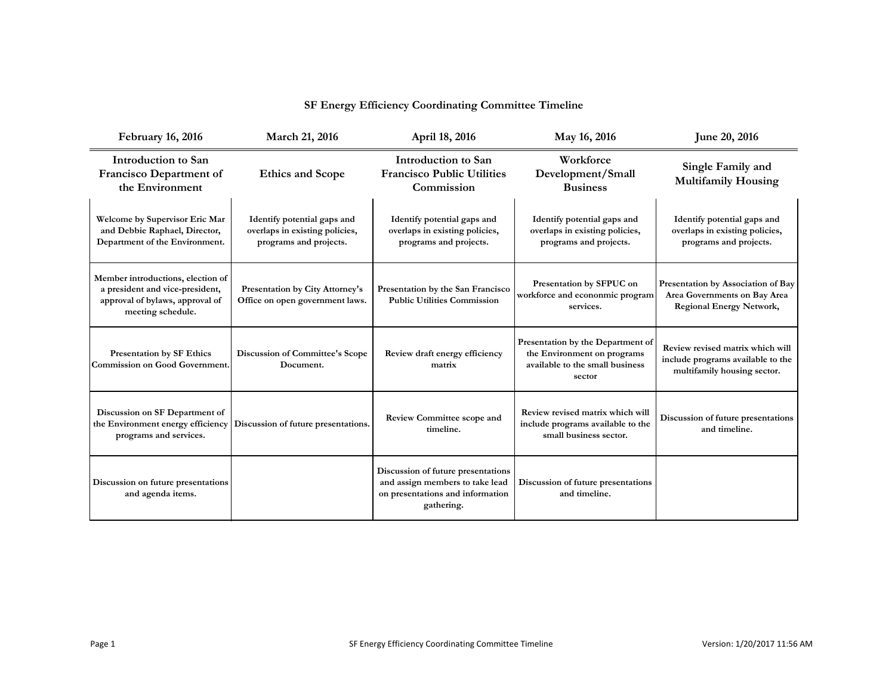| <b>February 16, 2016</b>                                                                                                     | March 21, 2016                                                                          | April 18, 2016                                                                                                          | May 16, 2016                                                                                                  | June 20, 2016                                                                                         |
|------------------------------------------------------------------------------------------------------------------------------|-----------------------------------------------------------------------------------------|-------------------------------------------------------------------------------------------------------------------------|---------------------------------------------------------------------------------------------------------------|-------------------------------------------------------------------------------------------------------|
| <b>Introduction to San</b><br><b>Francisco Department of</b><br>the Environment                                              | <b>Ethics and Scope</b>                                                                 | <b>Introduction to San</b><br><b>Francisco Public Utilities</b><br>Commission                                           | Workforce<br>Development/Small<br><b>Business</b>                                                             | Single Family and<br><b>Multifamily Housing</b>                                                       |
| <b>Welcome by Supervisor Eric Mar</b><br>and Debbie Raphael, Director,<br>Department of the Environment.                     | Identify potential gaps and<br>overlaps in existing policies,<br>programs and projects. | Identify potential gaps and<br>overlaps in existing policies,<br>programs and projects.                                 | Identify potential gaps and<br>overlaps in existing policies,<br>programs and projects.                       | Identify potential gaps and<br>overlaps in existing policies,<br>programs and projects.               |
| Member introductions, election of<br>a president and vice-president,<br>approval of bylaws, approval of<br>meeting schedule. | <b>Presentation by City Attorney's</b><br>Office on open government laws.               | Presentation by the San Francisco<br><b>Public Utilities Commission</b>                                                 | Presentation by SFPUC on<br>workforce and econonmic program<br>services.                                      | Presentation by Association of Bay<br>Area Governments on Bay Area<br><b>Regional Energy Network,</b> |
| <b>Presentation by SF Ethics</b><br><b>Commission on Good Government.</b>                                                    | <b>Discussion of Committee's Scope</b><br>Document.                                     | Review draft energy efficiency<br>matrix                                                                                | Presentation by the Department of<br>the Environment on programs<br>available to the small business<br>sector | Review revised matrix which will<br>include programs available to the<br>multifamily housing sector.  |
| Discussion on SF Department of<br>the Environment energy efficiency<br>programs and services.                                | Discussion of future presentations.                                                     | <b>Review Committee scope and</b><br>timeline.                                                                          | Review revised matrix which will<br>include programs available to the<br>small business sector.               | Discussion of future presentations<br>and timeline.                                                   |
| Discussion on future presentations<br>and agenda items.                                                                      |                                                                                         | Discussion of future presentations<br>and assign members to take lead<br>on presentations and information<br>gathering. | Discussion of future presentations<br>and timeline.                                                           |                                                                                                       |

## **SF Energy Efficiency Coordinating Committee Timeline**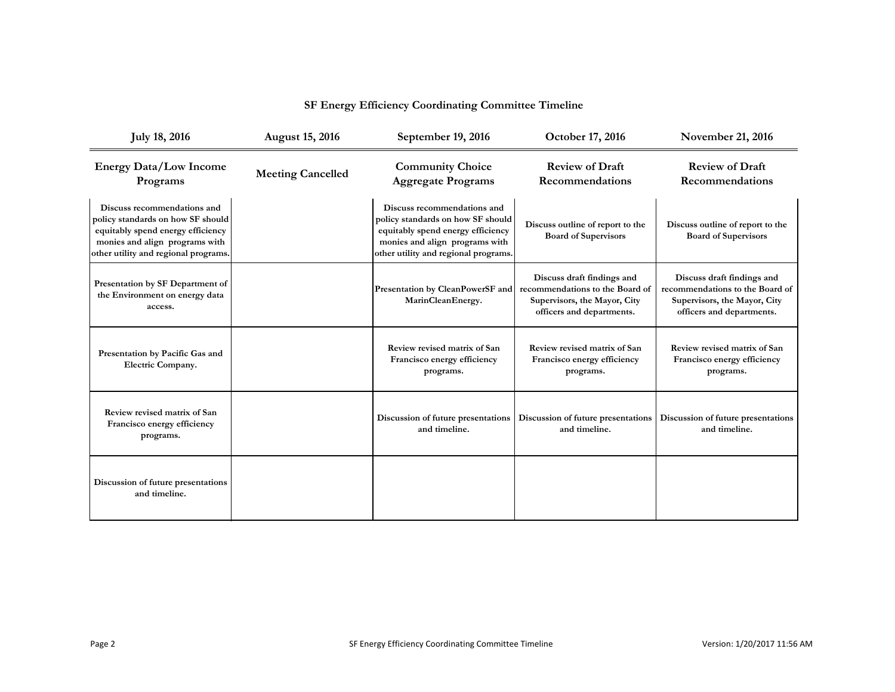| <b>July 18, 2016</b>                                                                                                                                                            | <b>August 15, 2016</b>   | September 19, 2016                                                                                                                                                              | October 17, 2016                                                                                                           | <b>November 21, 2016</b>                                                                                                   |
|---------------------------------------------------------------------------------------------------------------------------------------------------------------------------------|--------------------------|---------------------------------------------------------------------------------------------------------------------------------------------------------------------------------|----------------------------------------------------------------------------------------------------------------------------|----------------------------------------------------------------------------------------------------------------------------|
| <b>Energy Data/Low Income</b><br>Programs                                                                                                                                       | <b>Meeting Cancelled</b> | <b>Community Choice</b><br><b>Aggregate Programs</b>                                                                                                                            | <b>Review of Draft</b><br><b>Recommendations</b>                                                                           | <b>Review of Draft</b><br>Recommendations                                                                                  |
| Discuss recommendations and<br>policy standards on how SF should<br>equitably spend energy efficiency<br>monies and align programs with<br>other utility and regional programs. |                          | Discuss recommendations and<br>policy standards on how SF should<br>equitably spend energy efficiency<br>monies and align programs with<br>other utility and regional programs. | Discuss outline of report to the<br><b>Board of Supervisors</b>                                                            | Discuss outline of report to the<br><b>Board of Supervisors</b>                                                            |
| Presentation by SF Department of<br>the Environment on energy data<br>access.                                                                                                   |                          | Presentation by CleanPowerSF and<br>MarinCleanEnergy.                                                                                                                           | Discuss draft findings and<br>recommendations to the Board of<br>Supervisors, the Mayor, City<br>officers and departments. | Discuss draft findings and<br>recommendations to the Board of<br>Supervisors, the Mayor, City<br>officers and departments. |
| Presentation by Pacific Gas and<br><b>Electric Company.</b>                                                                                                                     |                          | Review revised matrix of San<br>Francisco energy efficiency<br>programs.                                                                                                        | Review revised matrix of San<br>Francisco energy efficiency<br>programs.                                                   | Review revised matrix of San<br>Francisco energy efficiency<br>programs.                                                   |
| Review revised matrix of San<br>Francisco energy efficiency<br>programs.                                                                                                        |                          | Discussion of future presentations<br>and timeline.                                                                                                                             | Discussion of future presentations<br>and timeline.                                                                        | Discussion of future presentations<br>and timeline.                                                                        |
| Discussion of future presentations<br>and timeline.                                                                                                                             |                          |                                                                                                                                                                                 |                                                                                                                            |                                                                                                                            |

## **SF Energy Efficiency Coordinating Committee Timeline**